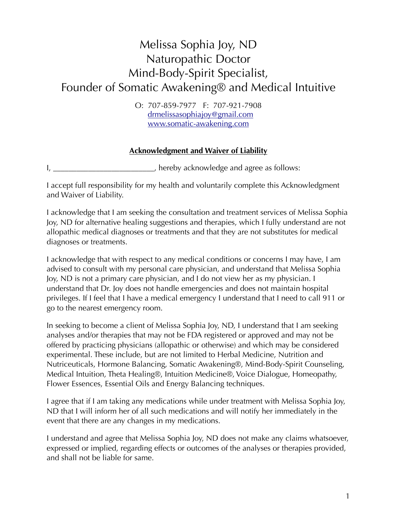## Melissa Sophia Joy, ND Naturopathic Doctor Mind-Body-Spirit Specialist, Founder of Somatic Awakening® and Medical Intuitive

O: 707-859-7977 F: 707-921-7908 [drmelissasophiajoy@gmail.com](mailto:drmelissasophiajoy@gmail.com) [www.somatic-awakening.com](http://www.somatic-awakening.com)

## **Acknowledgment and Waiver of Liability**

I, \_\_\_\_\_\_\_\_\_\_\_\_\_\_\_\_\_\_\_\_\_\_\_\_, hereby acknowledge and agree as follows:

I accept full responsibility for my health and voluntarily complete this Acknowledgment and Waiver of Liability.

I acknowledge that I am seeking the consultation and treatment services of Melissa Sophia Joy, ND for alternative healing suggestions and therapies, which I fully understand are not allopathic medical diagnoses or treatments and that they are not substitutes for medical diagnoses or treatments.

I acknowledge that with respect to any medical conditions or concerns I may have, I am advised to consult with my personal care physician, and understand that Melissa Sophia Joy, ND is not a primary care physician, and I do not view her as my physician. I understand that Dr. Joy does not handle emergencies and does not maintain hospital privileges. If I feel that I have a medical emergency I understand that I need to call 911 or go to the nearest emergency room.

In seeking to become a client of Melissa Sophia Joy, ND, I understand that I am seeking analyses and/or therapies that may not be FDA registered or approved and may not be offered by practicing physicians (allopathic or otherwise) and which may be considered experimental. These include, but are not limited to Herbal Medicine, Nutrition and Nutriceuticals, Hormone Balancing, Somatic Awakening®, Mind-Body-Spirit Counseling, Medical Intuition, Theta Healing®, Intuition Medicine®, Voice Dialogue, Homeopathy, Flower Essences, Essential Oils and Energy Balancing techniques.

I agree that if I am taking any medications while under treatment with Melissa Sophia Joy, ND that I will inform her of all such medications and will notify her immediately in the event that there are any changes in my medications.

I understand and agree that Melissa Sophia Joy, ND does not make any claims whatsoever, expressed or implied, regarding effects or outcomes of the analyses or therapies provided, and shall not be liable for same.